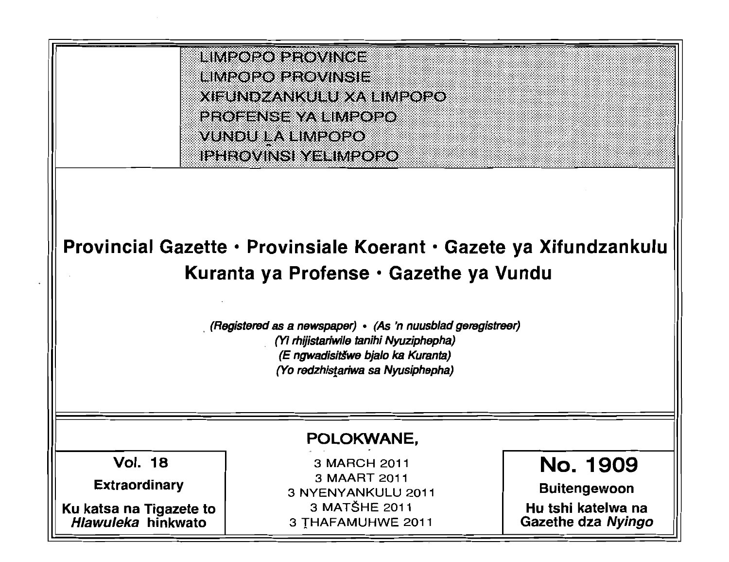LIMPOPO PROVINGE **LIMPOPO PROVINSIE XIEUNDZANKULU XA BIMPOPO** PROFENSE YA LIMPOPO **VUNDU LA LIMPOPO IPHROVINSIVE IMPOPO** 

# Provincial Gazette • Provinsiale Koerant • Gazete ya Xifundzankulu Kuranta ya Profense • Gazethe ya Vundu

. (Registerecl as a newspaper) • (As'n nuusblad geregistreer) (Yi rhijistariwile tanihi Nyuziphepha) (E ngwadisitšwe bialo ka Kuranta) (Yo redzhislariwa sa Nyusiphepha)

### POLOKWANE,

Vol. 18

**Extraordinary** 

Ku katsa na Tigazete to Hlawuleka hinkwato

3 MARCH 2011 3 MAART 2011 3 NYENYANKULU 2011 3 MATSHE 2011 3 THAFAMUHWE 2011

No. 1909

" :::;3: :

" :- :):; ::

Buitengewoon

Hu tshi katelwa na Gazethe dza Nyingo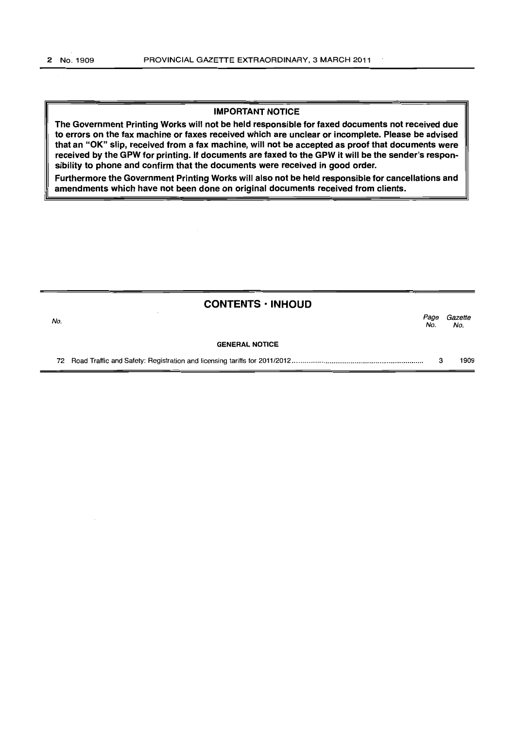#### IMPORTANT NOTICE

The Government Printing Works will not be held responsible for faxed documents not received due to errors on the fax machine or faxes received which are unclear or incomplete. Please be advised that an "OK" slip, received from a fax machine, will not be accepted as proof that documents were received by the GPW for printing. If documents are faxed to the GPW it will be the sender's responsibility to phone and confirm that the documents were received in good order.

Furthermore the Government Printing Works will also not be held responsible for cancellations and amendments which have not been done on original documents received from clients.

| No. |                       | Page<br>No. | Gazette<br>No. |  |
|-----|-----------------------|-------------|----------------|--|
|     | <b>GENERAL NOTICE</b> |             |                |  |
| 72  |                       |             | 1909           |  |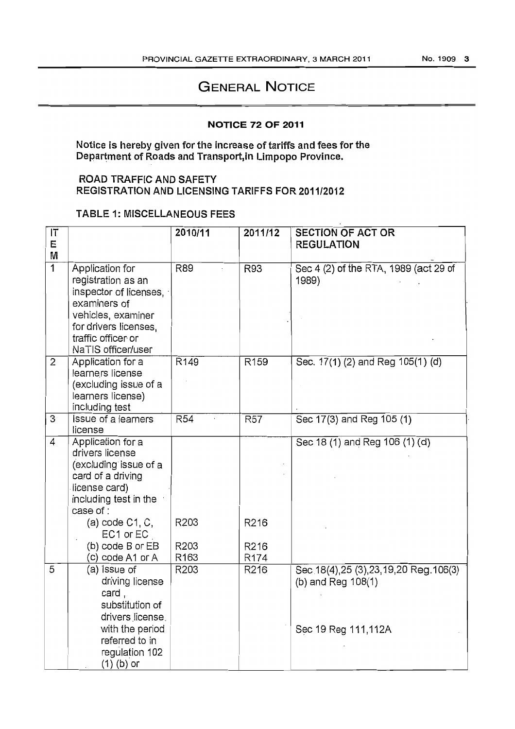# GENERAL NOTICE

### NOTICE 72 OF 2011

Notice is hereby given for the Increase of tariffs and fees for the Depart;ment of Roads and Transport,in Limpopo Province.

## ROAD TRAFFIC AND SAFETY REGISTRATION AND LICENSING TARIFFS FOR 2011/2012

## TABLE 1: MISCELLANEOUS FEES

| IT<br>E<br>M   |                                                                                                                                                                            | 2010/11                  | 2011/12                   | <b>SECTION OF ACT OR</b><br><b>REGULATION</b>  |
|----------------|----------------------------------------------------------------------------------------------------------------------------------------------------------------------------|--------------------------|---------------------------|------------------------------------------------|
| $\overline{1}$ | Application for<br>registration as an<br>inspector of licenses,<br>examiners of<br>vehicles, examiner<br>for drivers licenses,<br>traffic officer or<br>NaTIS officer/user | R89                      | R93                       | Sec 4 (2) of the RTA, 1989 (act 29 of<br>1989) |
| 2              | Application for a<br>learners license<br>(excluding issue of a<br>learners license)<br>including test                                                                      | R149                     | R <sub>159</sub>          | Sec. 17(1) (2) and Reg 105(1) (d)              |
| 3              | <b>Issue of a learners</b><br>license                                                                                                                                      | R54                      | <b>R57</b>                | Sec 17(3) and Reg 105 (1)                      |
| 4              | Application for a<br>drivers license<br>(excluding issue of a<br>card of a driving<br>license card)<br>including test in the<br>case of:                                   |                          |                           | Sec 18 (1) and Reg 106 (1) (d)                 |
|                | $(a)$ code C1, C,<br>EC1 or EC<br>(b) code B or EB                                                                                                                         | R203<br>R <sub>203</sub> | R216<br>R <sub>2</sub> 16 |                                                |
| 5              | (c) code A1 or A<br>(a) Issue of                                                                                                                                           | R163<br>R203             | R174<br>R216              | Sec 18(4), 25 (3), 23, 19, 20 Reg. 106(3)      |
|                | driving license<br>card,<br>substitution of<br>drivers license.<br>with the period<br>referred to in                                                                       |                          |                           | (b) and Reg 108(1)<br>Sec 19 Reg 111,112A      |
|                | regulation 102<br>$(1)$ (b) or                                                                                                                                             |                          |                           |                                                |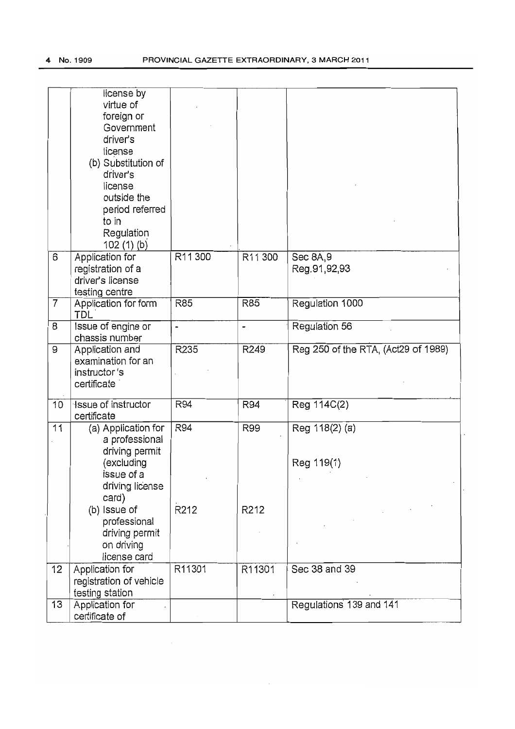|                | license by<br>virtue of<br>foreign or<br>Government<br>driver's<br>license<br>(b) Substitution of<br>driver's<br>license<br>outside the<br>period referred<br>to in<br>Regulation<br>102(1)(b) |                |                          |                                     |
|----------------|------------------------------------------------------------------------------------------------------------------------------------------------------------------------------------------------|----------------|--------------------------|-------------------------------------|
| 6              | Application for<br>registration of a<br>driver's license<br>testing centre                                                                                                                     | R11 300        | R11 300                  | Sec 8A, 9<br>Reg.91,92,93           |
| $\overline{7}$ | Application for form<br><b>TDL</b>                                                                                                                                                             | <b>R85</b>     | <b>R85</b>               | Regulation 1000                     |
| 8              | Issue of engine or<br>chassis number                                                                                                                                                           | $\overline{a}$ | $\overline{\phantom{0}}$ | Regulation 56                       |
| 9              | Application and<br>examination for an<br>instructor 's<br>certificate                                                                                                                          | R235           | R249                     | Reg 250 of the RTA, (Act29 of 1989) |
| 10             | Issue of instructor<br>certificate                                                                                                                                                             | R94            | R94                      | Reg 114C(2)                         |
| 11             | (a) Application for<br>a professional<br>driving permit<br>(excluding<br>issue of a<br>driving license<br>card)                                                                                | R94            | <b>R99</b>               | Reg 118(2) (a)<br>Reg 119(1)        |
|                | (b) Issue of<br>professional<br>driving permit<br>on driving<br>license card                                                                                                                   | R212           | R <sub>2</sub> 12        |                                     |
| 12             | Application for<br>registration of vehicle<br>testing station                                                                                                                                  | R11301         | R11301                   | Sec 38 and 39                       |
| 13             | Application for<br>certificate of                                                                                                                                                              |                |                          | Regulations 139 and 141             |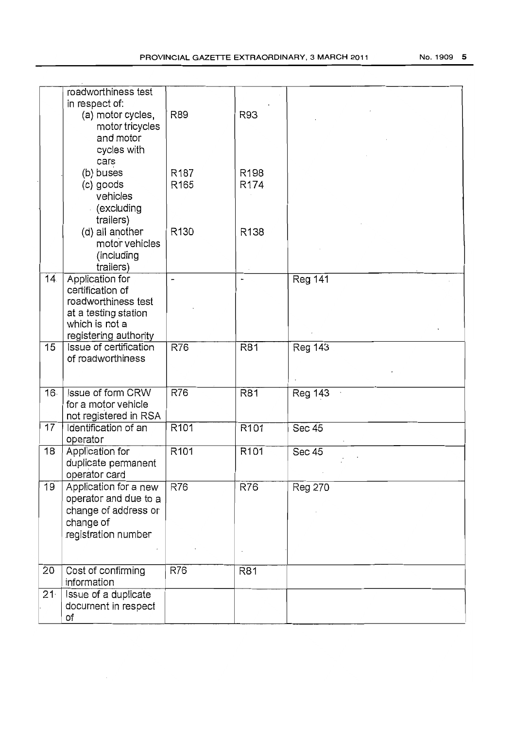|                 | roadworthiness test<br>in respect of:<br>(a) motor cycles,<br>motor tricycles<br>and motor<br>cycles with                     | <b>R89</b>                           | R93                                  |                |
|-----------------|-------------------------------------------------------------------------------------------------------------------------------|--------------------------------------|--------------------------------------|----------------|
|                 | cars<br>(b) buses<br>(c) goods<br>vehicles<br>c (excluding<br>trailers)                                                       | R <sub>187</sub><br>R <sub>165</sub> | R <sub>198</sub><br>R <sub>174</sub> |                |
|                 | (d) all another<br>motor vehicles<br>(including<br>trailers)                                                                  | R <sub>130</sub>                     | R138                                 |                |
| 14.             | Application for<br>certification of<br>roadworthiness test<br>at a testing station<br>which is not a<br>registering authority | -                                    |                                      | <b>Reg 141</b> |
| 15              | Issue of certification<br>of roadworthiness                                                                                   | $\overline{R76}$                     | <b>R81</b>                           | <b>Reg 143</b> |
| 16.             | Issue of form CRW<br>for a motor vehicle<br>not registered in RSA                                                             | <b>R76</b>                           | R81                                  | Reg 143        |
| 17              | Identification of an<br>operator                                                                                              | R <sub>101</sub>                     | R <sub>101</sub>                     | Sec 45         |
| 18              | Application for<br>duplicate permanent<br>operator card                                                                       | R <sub>101</sub>                     | R <sub>101</sub>                     | <b>Sec 45</b>  |
| 19              | Application for a new<br>operator and due to a<br>change of address or<br>change of<br>registration number                    | R76                                  | R76                                  | <b>Reg 270</b> |
| 20              | Cost of confirming<br>information                                                                                             | <b>R76</b>                           | R81                                  |                |
| 21 <sup>°</sup> | Issue of a duplicate<br>document in respect<br>Оf                                                                             |                                      |                                      |                |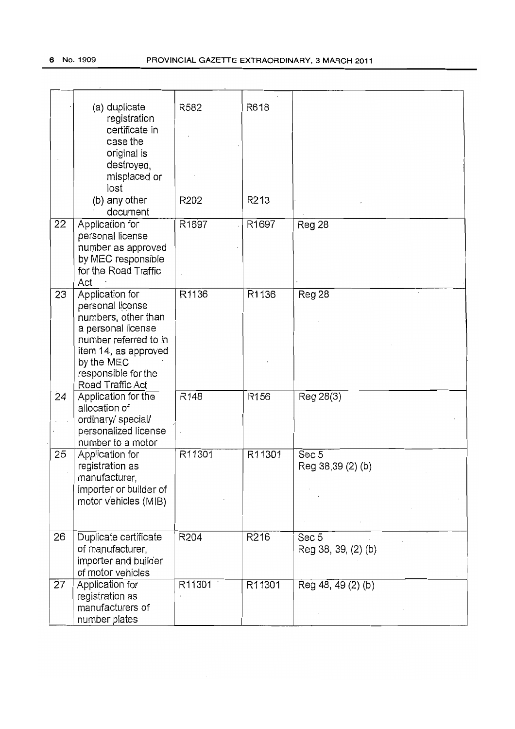|                 | (a) duplicate<br>registration<br>certificate in<br>case the<br>original is<br>destroyed,<br>misplaced or<br>lost<br>(b) any other<br>document                                              | R582<br>R202      | R618<br>R <sub>2</sub> 13 |                                       |
|-----------------|--------------------------------------------------------------------------------------------------------------------------------------------------------------------------------------------|-------------------|---------------------------|---------------------------------------|
| 22              | Application for<br>personal license<br>number as approved<br>by MEC responsible<br>for the Road Traffic<br>Act                                                                             | R <sub>1697</sub> | R1697                     | Reg 28                                |
| 23              | Application for<br>personal license<br>numbers, other than<br>a personal license<br>number referred to in<br>item 14, as approved<br>by the MEC<br>responsible for the<br>Road Traffic Act | R1136             | R1136                     | Reg 28                                |
| 24              | Application for the<br>allocation of<br>ordinary/ special/<br>personalized license<br>number to a motor                                                                                    | R <sub>148</sub>  | R156                      | Reg 28(3)                             |
| 25              | Application for<br>registration as<br>manufacturer,<br>importer or builder of<br>motor vehicles (MIB)                                                                                      | R11301            | R11301                    | Sec <sub>5</sub><br>Reg 38,39 (2) (b) |
| 26              | Duplicate certificate<br>of manufacturer,<br>importer and builder<br>of motor vehicles                                                                                                     | R204              | R216                      | Sec 5<br>Reg 38, 39, (2) (b)          |
| $\overline{27}$ | Application for<br>registration as<br>manufacturers of<br>number plates                                                                                                                    | R11301            | R11301                    | Reg 48, 49 (2) (b)                    |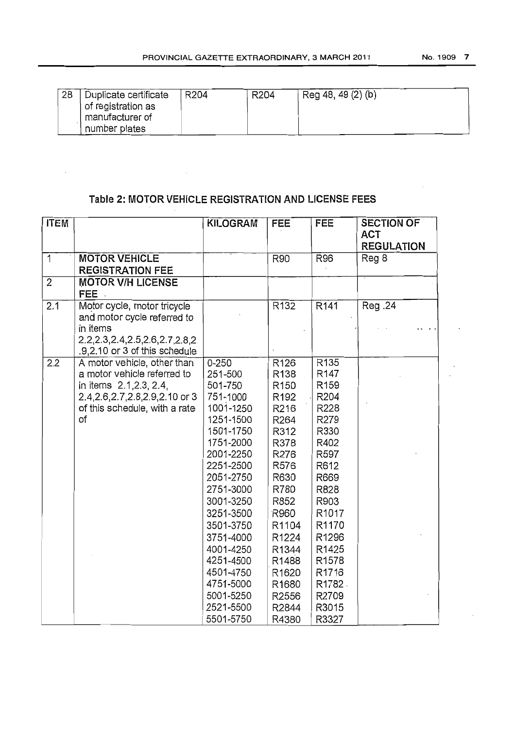| 28 | Duplicate certificate | R204 | R <sub>204</sub> | Reg 48, 49 (2) (b) |
|----|-----------------------|------|------------------|--------------------|
|    | of registration as    |      |                  |                    |
|    | manufacturer of       |      |                  |                    |
|    | number plates         |      |                  |                    |

## **Table 2: MOTOR VEHICLE REGISTRATION AND LICENSE FEES**

| <b>ITEM</b>    |                                                               | <b>KILOGRAM</b>    | <b>FEE</b>                           | FEE                      | <b>SECTION OF</b> |
|----------------|---------------------------------------------------------------|--------------------|--------------------------------------|--------------------------|-------------------|
|                |                                                               |                    |                                      |                          | <b>ACT</b>        |
|                |                                                               |                    |                                      |                          | <b>REGULATION</b> |
| $\overline{1}$ | <b>MOTOR VEHICLE</b>                                          |                    | <b>R90</b>                           | <b>R96</b>               | Reg 8             |
|                | <b>REGISTRATION FEE</b>                                       |                    |                                      |                          |                   |
| $\overline{2}$ | <b>MOTOR V/H LICENSE</b><br>FEE.                              |                    |                                      |                          |                   |
| 2.1            | Motor cycle, motor tricycle                                   |                    | R <sub>132</sub>                     | R <sub>141</sub>         | Reg.24            |
|                | and motor cycle referred to                                   |                    |                                      |                          |                   |
|                | in items                                                      |                    |                                      |                          |                   |
|                | 2.2, 2.3, 2.4, 2.5, 2.6, 2.7, 2.8, 2                          |                    |                                      |                          |                   |
|                | .9,2.10 or 3 of this schedule                                 |                    |                                      |                          |                   |
| 2.2            | A motor vehicle, other than                                   | $0 - 250$          | R <sub>126</sub>                     | R135                     |                   |
|                | a motor vehicle referred to                                   | 251-500<br>501-750 | R138                                 | R147<br>R <sub>159</sub> |                   |
|                | in items 2.1, 2.3, 2.4,<br>2.4, 2.6, 2.7, 2.8, 2.9, 2.10 or 3 | 751-1000           | R <sub>150</sub><br>R <sub>192</sub> | R204                     |                   |
|                | of this schedule, with a rate                                 | 1001-1250          | R216                                 | R228                     |                   |
|                | of                                                            | 1251-1500          | R <sub>264</sub>                     | R279                     |                   |
|                |                                                               | 1501-1750          | R312                                 | R330                     |                   |
|                |                                                               | 1751-2000          | R378                                 | R402                     |                   |
|                |                                                               | 2001-2250          | R276                                 | R597                     |                   |
|                |                                                               | 2251-2500          | R576                                 | R612                     |                   |
|                |                                                               | 2051-2750          | R630                                 | R669                     |                   |
|                |                                                               | 2751-3000          | R780                                 | R828                     |                   |
|                |                                                               | 3001-3250          | R852                                 | R903                     |                   |
|                |                                                               | 3251-3500          | <b>R960</b>                          | R <sub>1017</sub>        |                   |
|                |                                                               | 3501-3750          | R1104                                | R1170                    |                   |
|                |                                                               | 3751-4000          | R1224                                | R1296                    |                   |
|                |                                                               | 4001-4250          | R1344                                | R1425                    |                   |
|                |                                                               | 4251-4500          | R1488                                | R <sub>1578</sub>        |                   |
|                |                                                               | 4501-4750          | R1620                                | R1716                    |                   |
|                |                                                               | 4751-5000          | R <sub>1680</sub>                    | R1782.                   |                   |
|                |                                                               | 5001-5250          | R2556                                | R2709                    |                   |
|                |                                                               | 2521-5500          | R2844                                | R3015                    |                   |
|                |                                                               | 5501-5750          | R4380                                | R3327                    |                   |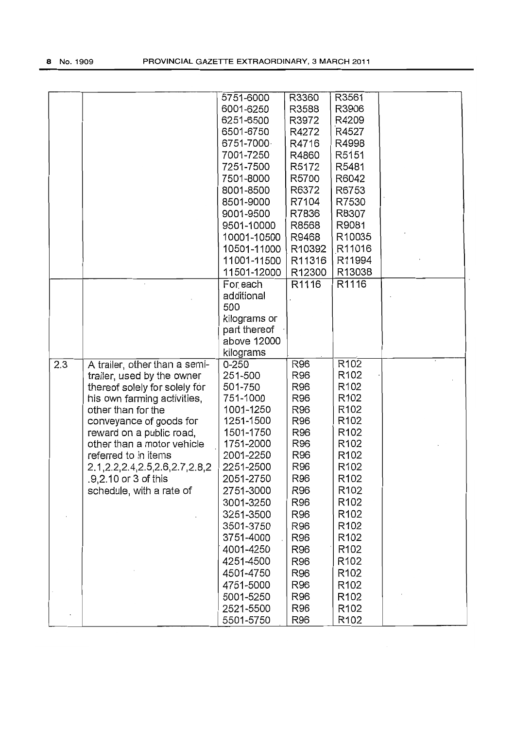|     |                                                                                                                                                                                                                                                                                                                                                            | 5751-6000<br>6001-6250<br>6251-6500<br>6501-6750<br>6751-7000<br>7001-7250<br>7251-7500<br>7501-8000<br>8001-8500<br>8501-9000<br>9001-9500<br>9501-10000<br>10001-10500<br>10501-11000<br>11001-11500<br>11501-12000                                                                              | R3360<br>R3588<br>R3972<br>R4272<br>R4716<br>R4860<br>R5172<br>R5700<br>R6372<br>R7104<br>R7836<br>R8568<br>R9468<br>R <sub>10392</sub><br>R11316<br>R12300                                    | R3561<br>R3906<br>R4209<br>R4527<br>R4998<br>R <sub>5</sub> 151<br>R5481<br>R6042<br>R6753<br>R7530<br>R8307<br>R9081<br>R10035<br>R11016<br>R11994<br>R13038                                                                                                                                                                                                                                                                                                |  |
|-----|------------------------------------------------------------------------------------------------------------------------------------------------------------------------------------------------------------------------------------------------------------------------------------------------------------------------------------------------------------|----------------------------------------------------------------------------------------------------------------------------------------------------------------------------------------------------------------------------------------------------------------------------------------------------|------------------------------------------------------------------------------------------------------------------------------------------------------------------------------------------------|--------------------------------------------------------------------------------------------------------------------------------------------------------------------------------------------------------------------------------------------------------------------------------------------------------------------------------------------------------------------------------------------------------------------------------------------------------------|--|
|     |                                                                                                                                                                                                                                                                                                                                                            | For each<br>additional<br>500<br>kilograms or<br>part thereof<br>above 12000<br>kilograms                                                                                                                                                                                                          | R1116                                                                                                                                                                                          | R1116                                                                                                                                                                                                                                                                                                                                                                                                                                                        |  |
| 2.3 | A trailer, other than a semi-<br>trailer, used by the owner<br>thereof solely for solely for<br>his own farming activities,<br>other than for the<br>conveyance of goods for<br>reward on a public road,<br>other than a motor vehicle<br>referred to in items<br>2.1, 2.2, 2.4, 2.5, 2.6, 2.7, 2.8, 2<br>.9,2.10 or 3 of this<br>schedule, with a rate of | $0 - 250$<br>251-500<br>501-750<br>751-1000<br>1001-1250<br>1251-1500<br>1501-1750<br>1751-2000<br>2001-2250<br>2251-2500<br>2051-2750<br>2751-3000<br>3001-3250<br>3251-3500<br>3501-3750<br>3751-4000<br>4001-4250<br>4251-4500<br>4501-4750<br>4751-5000<br>5001-5250<br>2521-5500<br>5501-5750 | R96<br>R96<br><b>R96</b><br><b>R96</b><br>R96<br>R96<br>R96<br>R96<br>R96<br>R96<br>R96<br><b>R96</b><br>R96<br>R <sub>96</sub><br>R96<br>R96<br>R96<br>R96<br>R96<br>R96<br>R96<br>R96<br>R96 | R <sub>102</sub><br>R <sub>102</sub><br>R <sub>102</sub><br>R102<br>R <sub>102</sub><br>R <sub>102</sub><br>R <sub>102</sub><br>R <sub>102</sub><br>R <sub>102</sub><br>R <sub>102</sub><br>R <sub>102</sub><br>R <sub>102</sub><br>R <sub>102</sub><br>R <sub>102</sub><br>R <sub>102</sub><br>R <sub>102</sub><br>R <sub>102</sub><br>R <sub>102</sub><br>R <sub>102</sub><br>R <sub>102</sub><br>R <sub>102</sub><br>R <sub>102</sub><br>R <sub>102</sub> |  |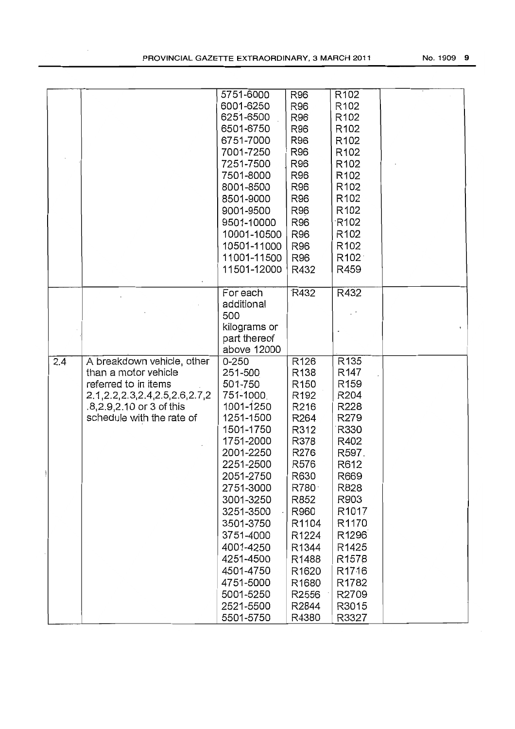|     |                                      | 5751-6000              | R96              | R <sub>102</sub>  |  |
|-----|--------------------------------------|------------------------|------------------|-------------------|--|
|     |                                      | 6001-6250              | R96              | R <sub>102</sub>  |  |
|     |                                      | 6251-6500              | R96              | R <sub>102</sub>  |  |
|     |                                      |                        |                  |                   |  |
|     |                                      | 6501-6750              | R96              | R <sub>102</sub>  |  |
|     |                                      | 6751-7000              | R96              | R <sub>102</sub>  |  |
|     |                                      | 7001-7250              | R96              | R <sub>102</sub>  |  |
|     |                                      | 7251-7500              | <b>R96</b>       | R <sub>102</sub>  |  |
|     |                                      |                        |                  |                   |  |
|     |                                      | 7501-8000              | <b>R96</b>       | R <sub>102</sub>  |  |
|     |                                      | 8001-8500              | R96              | R <sub>102</sub>  |  |
|     |                                      | 8501-9000              | R96              | R <sub>102</sub>  |  |
|     |                                      | 9001-9500              | R96              | R <sub>102</sub>  |  |
|     |                                      |                        |                  |                   |  |
|     |                                      | 9501-10000             | R96              | <b>R102</b>       |  |
|     |                                      | 10001-10500            | R96              | R <sub>102</sub>  |  |
|     |                                      | 10501-11000            | R96              | R <sub>102</sub>  |  |
|     |                                      | 11001-11500            | R96              | R102              |  |
|     |                                      | 11501-12000            | R432             | R459              |  |
|     |                                      |                        |                  |                   |  |
|     |                                      | For each               | R432             | R432              |  |
|     |                                      | additional             |                  |                   |  |
|     |                                      | 500                    |                  |                   |  |
|     |                                      |                        |                  |                   |  |
|     |                                      | kilograms or           |                  |                   |  |
|     |                                      | part thereof           |                  |                   |  |
|     |                                      | above 12000            |                  |                   |  |
|     |                                      |                        |                  |                   |  |
| 2.4 | A breakdown vehicle, other           | $0 - 250$              | R <sub>126</sub> | R <sub>135</sub>  |  |
|     | than a motor vehicle                 | 251-500                | R <sub>138</sub> | R <sub>147</sub>  |  |
|     |                                      |                        |                  |                   |  |
|     | referred to in items                 | 501-750                | R <sub>150</sub> | R <sub>159</sub>  |  |
|     | 2.1, 2.2, 2.3, 2.4, 2.5, 2.6, 2.7, 2 | 751-1000               | R <sub>192</sub> | R204              |  |
|     | .8, 2.9, 2.10 or 3 of this           | 1001-1250              | R216             | R228              |  |
|     | schedule with the rate of            | 1251-1500              | R <sub>264</sub> | R279              |  |
|     |                                      | 1501-1750              | R312             | R330              |  |
|     |                                      | 1751-2000              | R378             | R402              |  |
|     |                                      | 2001-2250              | R276             | R597.             |  |
|     |                                      |                        |                  |                   |  |
|     |                                      | 2251-2500              | R576             | R612              |  |
|     |                                      | 2051-2750              | R630             | R669              |  |
|     |                                      | 2751-3000              | R780             | R828              |  |
|     |                                      | 3001-3250              | R852             | R903              |  |
|     |                                      | 3251-3500              | R960             | R1017             |  |
|     |                                      |                        |                  |                   |  |
|     |                                      | 3501-3750              | R1104            | R1170             |  |
|     |                                      | 3751-4000              | R1224            | R1296             |  |
|     |                                      | 4001-4250              | R1344            | R1425             |  |
|     |                                      | 4251-4500              | R1488            | R <sub>1578</sub> |  |
|     |                                      | 4501-4750              | R1620            | R1716             |  |
|     |                                      |                        |                  |                   |  |
|     |                                      | 4751-5000              | R1680            | R1782             |  |
|     |                                      | 5001-5250              | R2556            | R2709             |  |
|     |                                      | 2521-5500<br>5501-5750 | R2844<br>R4380   | R3015<br>R3327    |  |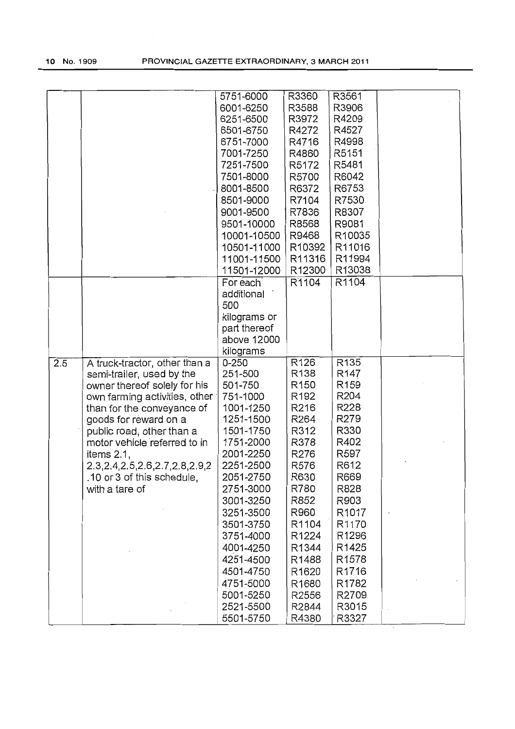|                  |                                                                                                                                                                                                                                                                                                                                                          | 5751-6000<br>6001-6250<br>6251-6500<br>6501-6750<br>6751-7000<br>7001-7250<br>7251-7500<br>7501-8000<br>8001-8500<br>8501-9000<br>9001-9500<br>9501-10000<br>10001-10500<br>10501-11000<br>11001-11500<br>11501-12000                                                                              | R3360<br>R3588<br>R3972<br>R4272<br>R4716<br>R4860<br>R5172<br>R5700<br>R6372<br>R7104<br>R7836<br>R8568<br>R9468<br>R10392<br>R11316<br>R12300                                                                                                           | R3561<br>R3906<br>R4209<br>R4527<br>R4998<br>R5151<br>R5481<br>R6042<br>R6753<br>R7530<br>R8307<br>R9081<br>R10035<br>R11016<br>R11994<br>R13038                                                                                                           |  |
|------------------|----------------------------------------------------------------------------------------------------------------------------------------------------------------------------------------------------------------------------------------------------------------------------------------------------------------------------------------------------------|----------------------------------------------------------------------------------------------------------------------------------------------------------------------------------------------------------------------------------------------------------------------------------------------------|-----------------------------------------------------------------------------------------------------------------------------------------------------------------------------------------------------------------------------------------------------------|------------------------------------------------------------------------------------------------------------------------------------------------------------------------------------------------------------------------------------------------------------|--|
|                  |                                                                                                                                                                                                                                                                                                                                                          | For each<br>additional<br>500<br>kilograms or<br>part thereof<br>above 12000<br>kilograms                                                                                                                                                                                                          | R1104                                                                                                                                                                                                                                                     | R1104                                                                                                                                                                                                                                                      |  |
| $\overline{2.5}$ | A truck-tractor, other than a<br>semi-trailer, used by the<br>owner thereof solely for his<br>own farming activities, other<br>than for the conveyance of<br>goods for reward on a<br>public road, other than a<br>motor vehicle referred to in<br>items $2.1$ ,<br>2.3, 2.4, 2.5, 2.6, 2.7, 2.8, 2.9, 2<br>.10 or 3 of this schedule,<br>with a tare of | $0 - 250$<br>251-500<br>501-750<br>751-1000<br>1001-1250<br>1251-1500<br>1501-1750<br>1751-2000<br>2001-2250<br>2251-2500<br>2051-2750<br>2751-3000<br>3001-3250<br>3251-3500<br>3501-3750<br>3751-4000<br>4001-4250<br>4251-4500<br>4501-4750<br>4751-5000<br>5001-5250<br>2521-5500<br>5501-5750 | R <sub>126</sub><br>R <sub>138</sub><br>R <sub>150</sub><br>R <sub>192</sub><br>R216<br>R <sub>264</sub><br>R312<br>R378<br>R276<br>R576<br>R630<br>R780<br>R852<br>R960<br>R1104<br>R1224<br>R1344<br>R1488<br>R1620<br>R1680<br>R2556<br>R2844<br>R4380 | R <sub>135</sub><br>R147<br>R <sub>159</sub><br>R204<br>R228<br>R279<br>R330<br>R402<br>R597<br>R612<br>R669<br>R828<br>R903<br>R1017<br>R <sub>1170</sub><br>R <sub>1296</sub><br>R1425<br>R <sub>1578</sub><br>R1716<br>R1782<br>R2709<br>R3015<br>R3327 |  |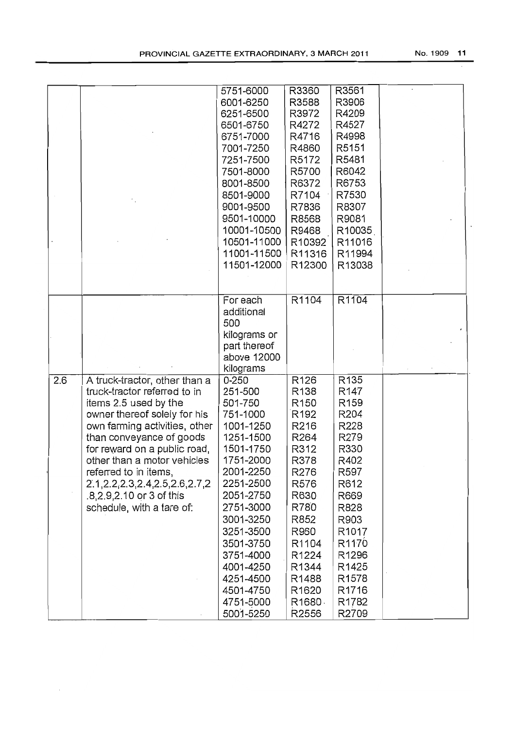|     |                                                                                                                                                                                                                                                                                                                                                                                | 5751-6000<br>6001-6250<br>6251-6500<br>6501-6750<br>6751-7000<br>7001-7250<br>7251-7500<br>7501-8000<br>8001-8500<br>8501-9000<br>9001-9500<br>9501-10000<br>10001-10500<br>10501-11000<br>11001-11500<br>11501-12000                                                    | R3360<br>R3588<br>R3972<br>R4272<br>R4716<br>R4860<br>R5172<br>R5700<br>R6372<br>R7104<br>R7836<br>R8568<br>R9468<br>R10392<br>R11316<br>R12300                                                                                                                              | R3561<br>R3906<br>R4209<br>R4527<br>R4998<br>R5151<br>R5481<br>R6042<br>R6753<br>R7530<br>R8307<br>R9081<br>R10035<br>R11016<br>R11994<br>R13038                                                                                                                 |  |
|-----|--------------------------------------------------------------------------------------------------------------------------------------------------------------------------------------------------------------------------------------------------------------------------------------------------------------------------------------------------------------------------------|--------------------------------------------------------------------------------------------------------------------------------------------------------------------------------------------------------------------------------------------------------------------------|------------------------------------------------------------------------------------------------------------------------------------------------------------------------------------------------------------------------------------------------------------------------------|------------------------------------------------------------------------------------------------------------------------------------------------------------------------------------------------------------------------------------------------------------------|--|
|     |                                                                                                                                                                                                                                                                                                                                                                                | For each<br>additional<br>500<br>kilograms or<br>part thereof<br>above 12000<br>kilograms                                                                                                                                                                                | R1104                                                                                                                                                                                                                                                                        | R1104                                                                                                                                                                                                                                                            |  |
| 2.6 | A truck-tractor, other than a<br>truck-tractor referred to in<br>items 2.5 used by the<br>owner thereof solely for his<br>own farming activities, other<br>than conveyance of goods<br>for reward on a public road,<br>other than a motor vehicles<br>referred to in items,<br>2.1, 2.2, 2.3, 2.4, 2.5, 2.6, 2.7, 2<br>.8, 2.9, 2.10 or 3 of this<br>schedule, with a tare of: | $0 - 250$<br>251-500<br>501-750<br>751-1000<br>1001-1250<br>1251-1500<br>1501-1750<br>1751-2000<br>2001-2250<br>2251-2500<br>2051-2750<br>2751-3000<br>3001-3250<br>3251-3500<br>3501-3750<br>3751-4000<br>4001-4250<br>4251-4500<br>4501-4750<br>4751-5000<br>5001-5250 | R126<br>R <sub>138</sub><br>R <sub>150</sub><br>R <sub>192</sub><br>R216<br>R <sub>264</sub><br>R312<br>R378<br>R276<br>R576<br>R630<br>R780<br>R852<br>R960<br>R1104<br>R <sub>1224</sub><br>R <sub>1344</sub><br>R <sub>1488</sub><br>R <sub>1620</sub><br>R1680.<br>R2556 | R <sub>135</sub><br>R <sub>147</sub><br>R <sub>159</sub><br>R <sub>204</sub><br>R228<br>R279<br>R330<br>R402<br>R597<br>R612<br>R669<br>R828<br>R903<br>R <sub>1017</sub><br>R1170<br>R1296<br>R1425<br>R <sub>1578</sub><br>R1716<br>R <sub>1782</sub><br>R2709 |  |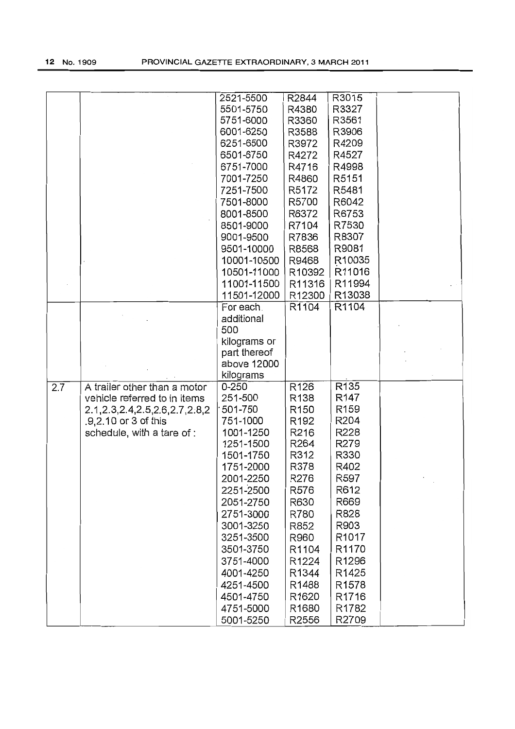|     |                                                                                                                                                            | 2521-5500<br>5501-5750<br>5751-6000<br>6001-6250<br>6251-6500<br>6501-6750<br>6751-7000<br>7001-7250<br>7251-7500<br>7501-8000<br>8001-8500<br>8501-9000<br>9001-9500<br>9501-10000<br>10001-10500<br>10501-11000<br>11001-11500<br>11501-12000<br>For each<br>additional<br>500<br>kilograms or<br>part thereof<br>above 12000 | R2844<br>R4380<br>R3360<br>R3588<br>R3972<br>R4272<br>R4716<br>R4860<br>R5172<br>R5700<br>R6372<br>R7104<br>R7836<br>R8568<br>R9468<br>R10392<br>R11316<br>R12300<br>R1104                                                              | R3015<br>R3327<br>R3561<br>R3906<br>R4209<br>R4527<br>R4998<br>R5151<br>R5481<br>R6042<br>R6753<br>R7530<br>R8307<br>R9081<br>R10035<br>R11016<br>R11994<br>R13038<br>R1104                                                                                      |  |
|-----|------------------------------------------------------------------------------------------------------------------------------------------------------------|---------------------------------------------------------------------------------------------------------------------------------------------------------------------------------------------------------------------------------------------------------------------------------------------------------------------------------|-----------------------------------------------------------------------------------------------------------------------------------------------------------------------------------------------------------------------------------------|------------------------------------------------------------------------------------------------------------------------------------------------------------------------------------------------------------------------------------------------------------------|--|
| 2.7 | A trailer other than a motor<br>vehicle referred to in items<br>2.1, 2.3, 2.4, 2.5, 2.6, 2.7, 2.8, 2<br>.9,2.10 or 3 of this<br>schedule, with a tare of : | kilograms<br>$0 - 250$<br>251-500<br>501-750<br>751-1000<br>1001-1250<br>1251-1500<br>1501-1750<br>1751-2000<br>2001-2250<br>2251-2500<br>2051-2750<br>2751-3000<br>3001-3250<br>3251-3500<br>3501-3750<br>3751-4000<br>4001-4250<br>4251-4500<br>4501-4750<br>4751-5000<br>5001-5250                                           | R <sub>126</sub><br>R <sub>138</sub><br>R <sub>150</sub><br>R <sub>192</sub><br>R216<br>R264<br>R312<br>R378<br>R276<br>R576<br>R630<br>R780<br>R852<br>R960<br>R1104<br>R1224<br>R1344<br>R1488<br>R1620<br>R <sub>1680</sub><br>R2556 | R <sub>135</sub><br>R <sub>147</sub><br>R <sub>159</sub><br>R <sub>204</sub><br>R228<br>R279<br>R330<br>R402<br>R597<br>R612<br>R669<br>R828<br>R903<br>R <sub>1017</sub><br>R1170<br>R1296<br>R1425<br>R <sub>1578</sub><br>R <sub>1716</sub><br>R1782<br>R2709 |  |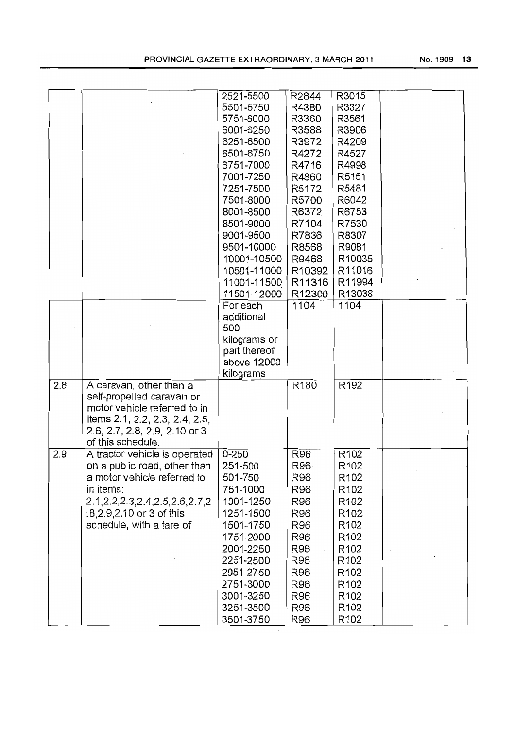|     |                                                                                                                                                                                                           | 2521-5500<br>5501-5750<br>5751-6000<br>6001-6250<br>6251-6500<br>6501-6750<br>6751-7000<br>7001-7250<br>7251-7500<br>7501-8000<br>8001-8500<br>8501-9000<br>9001-9500<br>9501-10000<br>10001-10500<br>10501-11000<br>11001-11500<br>11501-12000<br>For each<br>additional<br>500<br>kilograms or<br>part thereof<br>above 12000 | R2844<br>R4380<br>R3360<br>R3588<br>R3972<br>R4272<br>R4716<br>R4860<br>R5172<br>R5700<br>R6372<br>R7104<br>R7836<br>R8568<br>R9468<br>R10392<br>R11316<br>R12300<br>1104 | R3015<br>R3327<br>R3561<br>R3906<br>R4209<br>R4527<br>R4998<br>R5151<br>R5481<br>R6042<br>R6753<br>R7530<br>R8307<br>R9081<br>R10035<br>R11016<br>R11994<br>R13038<br>1104                                                                                                                          |  |
|-----|-----------------------------------------------------------------------------------------------------------------------------------------------------------------------------------------------------------|---------------------------------------------------------------------------------------------------------------------------------------------------------------------------------------------------------------------------------------------------------------------------------------------------------------------------------|---------------------------------------------------------------------------------------------------------------------------------------------------------------------------|-----------------------------------------------------------------------------------------------------------------------------------------------------------------------------------------------------------------------------------------------------------------------------------------------------|--|
| 2.8 | A caravan, other than a<br>self-propelled caravan or<br>motor vehicle referred to in<br>items 2.1, 2.2, 2.3, 2.4, 2.5,<br>2.6, 2.7, 2.8, 2.9, 2.10 or 3<br>of this schedule.                              | kilograms                                                                                                                                                                                                                                                                                                                       | R180                                                                                                                                                                      | R <sub>192</sub>                                                                                                                                                                                                                                                                                    |  |
| 2.9 | A tractor vehicle is operated<br>on a public road, other than<br>a motor vehicle referred to<br>in items:<br>2.1, 2.2, 2.3, 2.4, 2.5, 2.6, 2.7, 2<br>.8,2.9,2.10 or 3 of this<br>schedule, with a tare of | $0 - 250$<br>251-500<br>501-750<br>751-1000<br>1001-1250<br>1251-1500<br>1501-1750<br>1751-2000<br>2001-2250<br>2251-2500<br>2051-2750<br>2751-3000<br>3001-3250<br>3251-3500<br>3501-3750                                                                                                                                      | R96<br>R96.<br>R96<br>R96<br>R96<br>R96<br>R96<br>R96<br>R96<br>R96<br>R96<br>R96<br>R96<br>R96<br>R96                                                                    | R <sub>102</sub><br>R <sub>102</sub><br>R <sub>102</sub><br>R <sub>102</sub><br>R <sub>102</sub><br>R <sub>102</sub><br>R <sub>102</sub><br><b>R102</b><br>R <sub>102</sub><br>R <sub>102</sub><br>R <sub>102</sub><br>R <sub>102</sub><br>R <sub>102</sub><br>R <sub>102</sub><br>R <sub>102</sub> |  |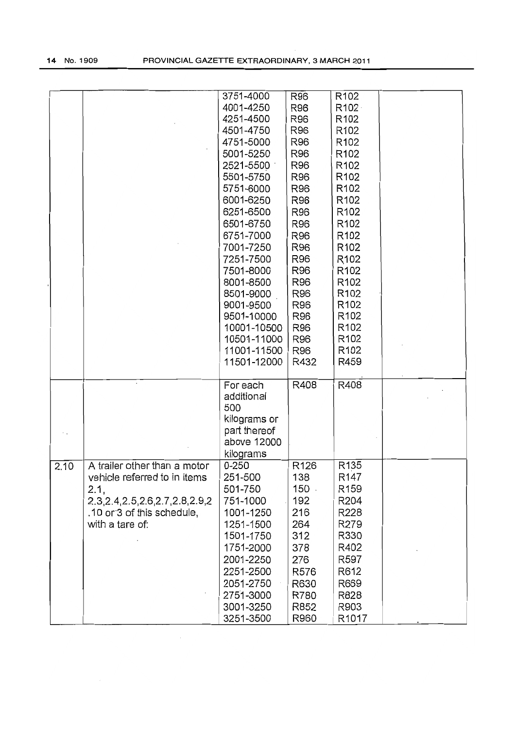|      |                                       | 3751-4000<br>4001-4250 | <b>R96</b><br>R96 | R <sub>102</sub><br>R <sub>102</sub> |  |
|------|---------------------------------------|------------------------|-------------------|--------------------------------------|--|
|      |                                       | 4251-4500              | R96               | R <sub>102</sub>                     |  |
|      |                                       |                        | <b>R96</b>        | R102                                 |  |
|      |                                       | 4501-4750              |                   |                                      |  |
|      |                                       | 4751-5000              | R96               | R <sub>102</sub>                     |  |
|      |                                       | 5001-5250              | R96               | R <sub>102</sub>                     |  |
|      |                                       | 2521-5500              | R96               | R <sub>102</sub>                     |  |
|      |                                       | 5501-5750              | R96               | R <sub>102</sub>                     |  |
|      |                                       | 5751-6000              | <b>R96</b>        | R <sub>102</sub>                     |  |
|      |                                       | 6001-6250              | R96               | R <sub>102</sub>                     |  |
|      |                                       | 6251-6500              | R96               | R <sub>102</sub>                     |  |
|      |                                       | 6501-6750              | R96               | R <sub>102</sub>                     |  |
|      |                                       | 6751-7000              | R96               | R <sub>102</sub>                     |  |
|      |                                       | 7001-7250              | R96               | R <sub>102</sub>                     |  |
|      |                                       | 7251-7500              | R96               | R <sub>102</sub>                     |  |
|      |                                       | 7501-8000              | R96               | R <sub>102</sub>                     |  |
|      |                                       | 8001-8500              | R96               | R <sub>102</sub>                     |  |
|      |                                       | 8501-9000              | R96               | R <sub>102</sub>                     |  |
|      |                                       | 9001-9500              | <b>R96</b>        | R <sub>102</sub>                     |  |
|      |                                       | 9501-10000             | <b>R96</b>        | R <sub>102</sub>                     |  |
|      |                                       | 10001-10500            | R96               | R <sub>102</sub>                     |  |
|      |                                       | 10501-11000            | R96               | R <sub>102</sub>                     |  |
|      |                                       | 11001-11500            | R96               | R <sub>102</sub>                     |  |
|      |                                       | 11501-12000            | R432              | R459                                 |  |
|      |                                       | For each               | R408              | R408                                 |  |
|      |                                       | additional             |                   |                                      |  |
|      |                                       | 500                    |                   |                                      |  |
|      |                                       | kilograms or           |                   |                                      |  |
|      |                                       | part thereof           |                   |                                      |  |
|      |                                       | above 12000            |                   |                                      |  |
|      |                                       | kilograms              |                   |                                      |  |
| 2.10 | A trailer other than a motor          | $0 - 250$              | R126              | R135                                 |  |
|      | vehicle referred to in items          | 251-500                | 138               | R147                                 |  |
|      | 2.1 <sub>1</sub>                      | 501-750                | 150               | R <sub>159</sub>                     |  |
|      | 2.3, 2.4, 2.5, 2.6, 2.7, 2.8, 2.9, 2. | 751-1000               | 192               | R <sub>204</sub>                     |  |
|      |                                       |                        |                   | R228                                 |  |
|      |                                       |                        |                   |                                      |  |
|      | .10 or 3 of this schedule,            | 1001-1250              | 216               |                                      |  |
|      | with a tare of:                       | 1251-1500              | 264               | R <sub>279</sub>                     |  |
|      |                                       | 1501-1750              | 312               | R330                                 |  |
|      |                                       | 1751-2000              | 378               | R402                                 |  |
|      |                                       | 2001-2250              | 276               | R597                                 |  |
|      |                                       | 2251-2500              | R576              | R612                                 |  |
|      |                                       | 2051-2750              | R630              | R669                                 |  |
|      |                                       | 2751-3000<br>3001-3250 | R780<br>R852      | R828<br>R903                         |  |

**14** No. 1909 PROVINCIAL GAZETTE EXTRAORDINARY. 3 MARCH 2011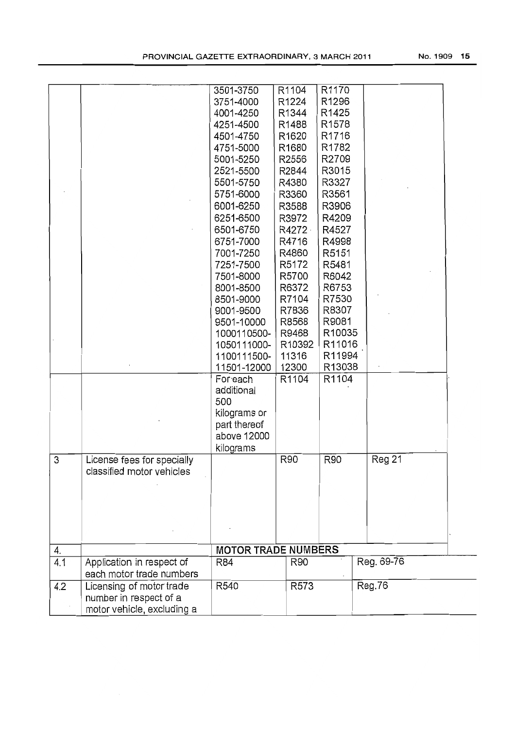| License fees for specially<br>classified motor vehicles | 1100111500-<br>11501-12000<br>Foreach<br>additional<br>500<br>kilograms or<br>part thereof<br>above 12000<br>kilograms | 11316<br>12300<br>R1104<br>R90                                                                                                                                                        | R11994<br>R13038<br>R1104<br>R90                                                                                                            | Reg 21                                                                                                                                    |                  |
|---------------------------------------------------------|------------------------------------------------------------------------------------------------------------------------|---------------------------------------------------------------------------------------------------------------------------------------------------------------------------------------|---------------------------------------------------------------------------------------------------------------------------------------------|-------------------------------------------------------------------------------------------------------------------------------------------|------------------|
|                                                         |                                                                                                                        |                                                                                                                                                                                       |                                                                                                                                             |                                                                                                                                           |                  |
|                                                         |                                                                                                                        |                                                                                                                                                                                       |                                                                                                                                             |                                                                                                                                           |                  |
|                                                         |                                                                                                                        |                                                                                                                                                                                       |                                                                                                                                             |                                                                                                                                           |                  |
|                                                         |                                                                                                                        |                                                                                                                                                                                       |                                                                                                                                             |                                                                                                                                           |                  |
|                                                         |                                                                                                                        |                                                                                                                                                                                       |                                                                                                                                             |                                                                                                                                           |                  |
|                                                         |                                                                                                                        |                                                                                                                                                                                       |                                                                                                                                             |                                                                                                                                           |                  |
|                                                         |                                                                                                                        |                                                                                                                                                                                       |                                                                                                                                             |                                                                                                                                           |                  |
|                                                         |                                                                                                                        |                                                                                                                                                                                       |                                                                                                                                             |                                                                                                                                           |                  |
|                                                         |                                                                                                                        |                                                                                                                                                                                       |                                                                                                                                             |                                                                                                                                           |                  |
|                                                         |                                                                                                                        |                                                                                                                                                                                       |                                                                                                                                             |                                                                                                                                           |                  |
|                                                         |                                                                                                                        |                                                                                                                                                                                       |                                                                                                                                             |                                                                                                                                           |                  |
|                                                         | 1050111000-                                                                                                            | R10392                                                                                                                                                                                |                                                                                                                                             |                                                                                                                                           |                  |
|                                                         |                                                                                                                        |                                                                                                                                                                                       |                                                                                                                                             |                                                                                                                                           |                  |
|                                                         |                                                                                                                        |                                                                                                                                                                                       |                                                                                                                                             |                                                                                                                                           |                  |
|                                                         | 8501-9000                                                                                                              | R7104                                                                                                                                                                                 | R7530                                                                                                                                       |                                                                                                                                           |                  |
|                                                         | 8001-8500                                                                                                              | R6372                                                                                                                                                                                 | R6753                                                                                                                                       |                                                                                                                                           |                  |
|                                                         | 7501-8000                                                                                                              | R5700                                                                                                                                                                                 | R6042                                                                                                                                       |                                                                                                                                           |                  |
|                                                         |                                                                                                                        | R5172                                                                                                                                                                                 |                                                                                                                                             |                                                                                                                                           |                  |
|                                                         |                                                                                                                        |                                                                                                                                                                                       |                                                                                                                                             |                                                                                                                                           |                  |
|                                                         |                                                                                                                        |                                                                                                                                                                                       |                                                                                                                                             |                                                                                                                                           |                  |
|                                                         |                                                                                                                        |                                                                                                                                                                                       |                                                                                                                                             |                                                                                                                                           |                  |
|                                                         |                                                                                                                        |                                                                                                                                                                                       |                                                                                                                                             |                                                                                                                                           |                  |
|                                                         | 5751-6000                                                                                                              | R3360                                                                                                                                                                                 | R3561                                                                                                                                       |                                                                                                                                           |                  |
|                                                         | 5501-5750                                                                                                              | R4380                                                                                                                                                                                 | R3327                                                                                                                                       |                                                                                                                                           |                  |
|                                                         | 2521-5500                                                                                                              | R2844                                                                                                                                                                                 | R3015                                                                                                                                       |                                                                                                                                           |                  |
|                                                         | 5001-5250                                                                                                              | R2556                                                                                                                                                                                 | R2709                                                                                                                                       |                                                                                                                                           |                  |
|                                                         |                                                                                                                        |                                                                                                                                                                                       |                                                                                                                                             |                                                                                                                                           |                  |
|                                                         |                                                                                                                        |                                                                                                                                                                                       |                                                                                                                                             |                                                                                                                                           |                  |
|                                                         |                                                                                                                        |                                                                                                                                                                                       |                                                                                                                                             |                                                                                                                                           |                  |
|                                                         | 3751-4000                                                                                                              | R1224                                                                                                                                                                                 | R1296                                                                                                                                       |                                                                                                                                           |                  |
|                                                         |                                                                                                                        | 3501-3750<br>4001-4250<br>4251-4500<br>4501-4750<br>4751-5000<br>6001-6250<br>6251-6500<br>6501-6750<br>6751-7000<br>7001-7250<br>7251-7500<br>9001-9500<br>9501-10000<br>1000110500- | R <sub>1104</sub><br>R1344<br>R1488<br>R <sub>1620</sub><br>R1680<br>R3588<br>R3972<br>R4272 ·<br>R4716<br>R4860<br>R7836<br>R8568<br>R9468 | R1170<br>R1425<br>R <sub>1578</sub><br>R <sub>1716</sub><br>R1782<br>R3906<br>R4209<br>R4527<br>R4998<br>R5151<br>R5481<br>R8307<br>R9081 | R10035<br>R11016 |